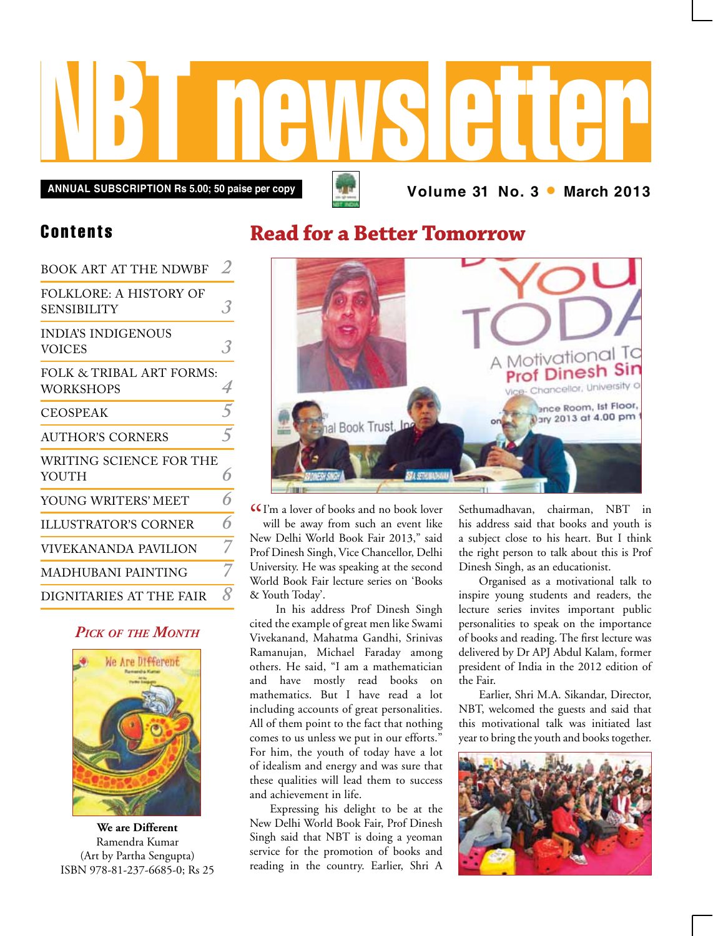

**Volume 31 No. 3 • March 2013 Annual subscription Rs 5.00; 50 paise per copy**

### Contents

| <b>BOOK ART AT THE NDWBF</b>                        |                     |
|-----------------------------------------------------|---------------------|
| <b>FOLKLORE: A HISTORY OF</b><br><b>SENSIBILITY</b> | 3.                  |
| <b>INDIA'S INDIGENOUS</b><br><b>VOICES</b>          |                     |
| FOLK & TRIBAL ART FORMS:<br>WORKSHOPS               | 4                   |
| <b>CEOSPEAK</b>                                     | 5                   |
| <b>AUTHOR'S CORNERS</b>                             | $\overline{5}$      |
| WRITING SCIENCE FOR THE<br>YOUTH                    | 6                   |
| YOUNG WRITERS' MEET                                 | 6                   |
| <b>ILLUSTRATOR'S CORNER</b>                         | 6                   |
| VIVEKANANDA PAVILION                                | 7                   |
| <b>MADHUBANI PAINTING</b>                           |                     |
| DIGNITARIES AT THE FAIR                             | $\pmb{\mathcal{R}}$ |

### *Pick of the Month*



**We are Different** Ramendra Kumar (Art by Partha Sengupta) ISBN 978-81-237-6685-0; Rs 25

### **Read for a Better Tomorrow**



**I'm a lover of books and no book lover**<br>will be away from such an event like will be away from such an event like New Delhi World Book Fair 2013," said Prof Dinesh Singh, Vice Chancellor, Delhi University. He was speaking at the second World Book Fair lecture series on 'Books & Youth Today'.

 In his address Prof Dinesh Singh cited the example of great men like Swami Vivekanand, Mahatma Gandhi, Srinivas Ramanujan, Michael Faraday among others. He said, "I am a mathematician and have mostly read books on mathematics. But I have read a lot including accounts of great personalities. All of them point to the fact that nothing comes to us unless we put in our efforts." For him, the youth of today have a lot of idealism and energy and was sure that these qualities will lead them to success and achievement in life.

Expressing his delight to be at the New Delhi World Book Fair, Prof Dinesh Singh said that NBT is doing a yeoman service for the promotion of books and reading in the country. Earlier, Shri A

Sethumadhavan, chairman, NBT in his address said that books and youth is a subject close to his heart. But I think the right person to talk about this is Prof Dinesh Singh, as an educationist.

Organised as a motivational talk to inspire young students and readers, the lecture series invites important public personalities to speak on the importance of books and reading. The first lecture was delivered by Dr APJ Abdul Kalam, former president of India in the 2012 edition of the Fair.

Earlier, Shri M.A. Sikandar, Director, NBT, welcomed the guests and said that this motivational talk was initiated last year to bring the youth and books together.

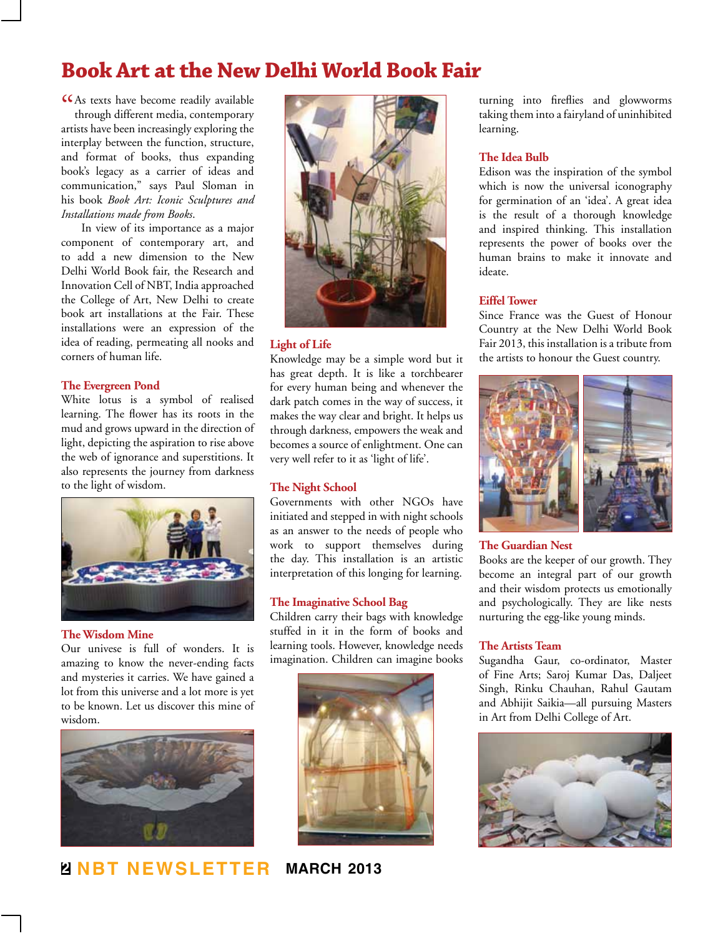### **Book Art at the New Delhi World Book Fair**

CCAs texts have become readily available through different media, contemporary through different media, contemporary artists have been increasingly exploring the interplay between the function, structure, and format of books, thus expanding book's legacy as a carrier of ideas and communication," says Paul Sloman in his book *Book Art: Iconic Sculptures and Installations made from Books*.

In view of its importance as a major component of contemporary art, and to add a new dimension to the New Delhi World Book fair, the Research and Innovation Cell of NBT, India approached the College of Art, New Delhi to create book art installations at the Fair. These installations were an expression of the idea of reading, permeating all nooks and corners of human life.

#### **The Evergreen Pond**

White lotus is a symbol of realised learning. The flower has its roots in the mud and grows upward in the direction of light, depicting the aspiration to rise above the web of ignorance and superstitions. It also represents the journey from darkness to the light of wisdom.



#### **The Wisdom Mine**

Our univese is full of wonders. It is amazing to know the never-ending facts and mysteries it carries. We have gained a lot from this universe and a lot more is yet to be known. Let us discover this mine of wisdom.



**2 NBT Newsletter march 2013**



#### **Light of Life**

Knowledge may be a simple word but it has great depth. It is like a torchbearer for every human being and whenever the dark patch comes in the way of success, it makes the way clear and bright. It helps us through darkness, empowers the weak and becomes a source of enlightment. One can very well refer to it as 'light of life'.

#### **The Night School**

Governments with other NGOs have initiated and stepped in with night schools as an answer to the needs of people who work to support themselves during the day. This installation is an artistic interpretation of this longing for learning.

#### **The Imaginative School Bag**

Children carry their bags with knowledge stuffed in it in the form of books and learning tools. However, knowledge needs imagination. Children can imagine books



turning into fireflies and glowworms taking them into a fairyland of uninhibited learning.

#### **The Idea Bulb**

Edison was the inspiration of the symbol which is now the universal iconography for germination of an 'idea'. A great idea is the result of a thorough knowledge and inspired thinking. This installation represents the power of books over the human brains to make it innovate and ideate.

#### **Eiffel Tower**

Since France was the Guest of Honour Country at the New Delhi World Book Fair 2013, this installation is a tribute from the artists to honour the Guest country.



#### **The Guardian Nest**

Books are the keeper of our growth. They become an integral part of our growth and their wisdom protects us emotionally and psychologically. They are like nests nurturing the egg-like young minds.

#### **The Artists Team**

Sugandha Gaur, co-ordinator, Master of Fine Arts; Saroj Kumar Das, Daljeet Singh, Rinku Chauhan, Rahul Gautam and Abhijit Saikia—all pursuing Masters in Art from Delhi College of Art.

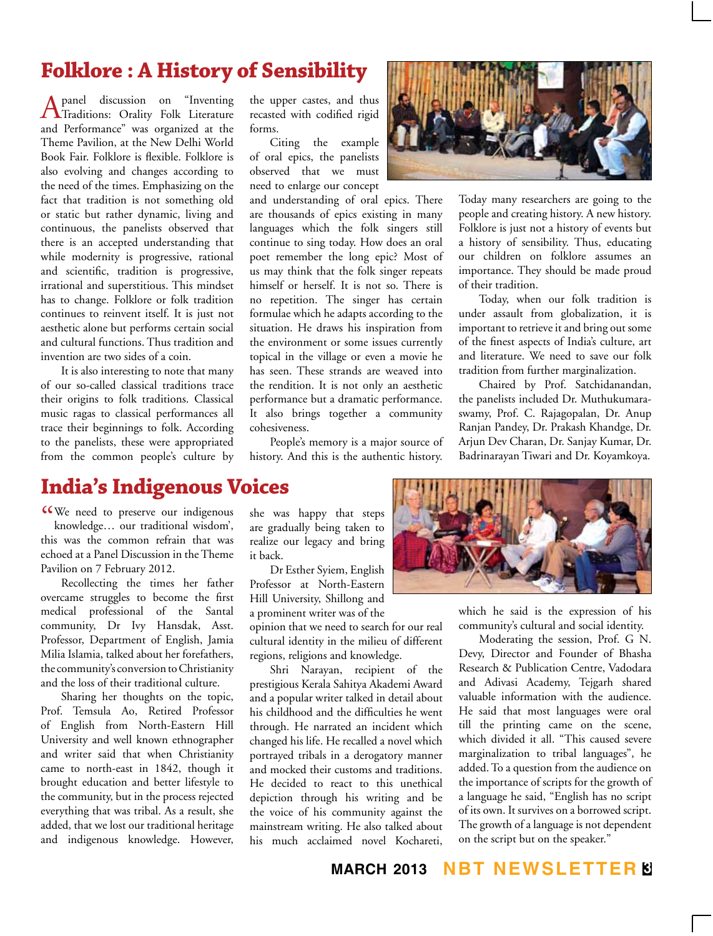# **Folklore : A History of Sensibility**

A panel discussion on "Inventing Traditions: Orality Folk Literature and Performance" was organized at the Theme Pavilion, at the New Delhi World Book Fair. Folklore is flexible. Folklore is also evolving and changes according to the need of the times. Emphasizing on the fact that tradition is not something old or static but rather dynamic, living and continuous, the panelists observed that there is an accepted understanding that while modernity is progressive, rational and scientific, tradition is progressive, irrational and superstitious. This mindset has to change. Folklore or folk tradition continues to reinvent itself. It is just not aesthetic alone but performs certain social and cultural functions. Thus tradition and invention are two sides of a coin.

It is also interesting to note that many of our so-called classical traditions trace their origins to folk traditions. Classical music ragas to classical performances all trace their beginnings to folk. According to the panelists, these were appropriated from the common people's culture by

the upper castes, and thus recasted with codified rigid forms.

Citing the example of oral epics, the panelists observed that we must need to enlarge our concept

and understanding of oral epics. There are thousands of epics existing in many languages which the folk singers still continue to sing today. How does an oral poet remember the long epic? Most of us may think that the folk singer repeats himself or herself. It is not so. There is no repetition. The singer has certain formulae which he adapts according to the situation. He draws his inspiration from the environment or some issues currently topical in the village or even a movie he has seen. These strands are weaved into the rendition. It is not only an aesthetic performance but a dramatic performance. It also brings together a community cohesiveness.

People's memory is a major source of history. And this is the authentic history.



Today many researchers are going to the people and creating history. A new history. Folklore is just not a history of events but a history of sensibility. Thus, educating our children on folklore assumes an importance. They should be made proud of their tradition.

Today, when our folk tradition is under assault from globalization, it is important to retrieve it and bring out some of the finest aspects of India's culture, art and literature. We need to save our folk tradition from further marginalization.

Chaired by Prof. Satchidanandan, the panelists included Dr. Muthukumaraswamy, Prof. C. Rajagopalan, Dr. Anup Ranjan Pandey, Dr. Prakash Khandge, Dr. Arjun Dev Charan, Dr. Sanjay Kumar, Dr. Badrinarayan Tiwari and Dr. Koyamkoya.

### **India's Indigenous Voices**

CCWe need to preserve our indigenous<br>
knowledge... our traditional wisdom', knowledge… our traditional wisdom', this was the common refrain that was echoed at a Panel Discussion in the Theme Pavilion on 7 February 2012.

Recollecting the times her father overcame struggles to become the first medical professional of the Santal community, Dr Ivy Hansdak, Asst. Professor, Department of English, Jamia Milia Islamia, talked about her forefathers, the community's conversion to Christianity and the loss of their traditional culture.

Sharing her thoughts on the topic, Prof. Temsula Ao, Retired Professor of English from North-Eastern Hill University and well known ethnographer and writer said that when Christianity came to north-east in 1842, though it brought education and better lifestyle to the community, but in the process rejected everything that was tribal. As a result, she added, that we lost our traditional heritage and indigenous knowledge. However,

she was happy that steps are gradually being taken to realize our legacy and bring it back.

Dr Esther Syiem, English Professor at North-Eastern Hill University, Shillong and a prominent writer was of the

opinion that we need to search for our real cultural identity in the milieu of different regions, religions and knowledge.

Shri Narayan, recipient of the prestigious Kerala Sahitya Akademi Award and a popular writer talked in detail about his childhood and the difficulties he went through. He narrated an incident which changed his life. He recalled a novel which portrayed tribals in a derogatory manner and mocked their customs and traditions. He decided to react to this unethical depiction through his writing and be the voice of his community against the mainstream writing. He also talked about his much acclaimed novel Kochareti,



which he said is the expression of his community's cultural and social identity.

Moderating the session, Prof. G N. Devy, Director and Founder of Bhasha Research & Publication Centre, Vadodara and Adivasi Academy, Tejgarh shared valuable information with the audience. He said that most languages were oral till the printing came on the scene, which divided it all. "This caused severe marginalization to tribal languages", he added. To a question from the audience on the importance of scripts for the growth of a language he said, "English has no script of its own. It survives on a borrowed script. The growth of a language is not dependent on the script but on the speaker."

**march 2013 NBT Newsletter 3**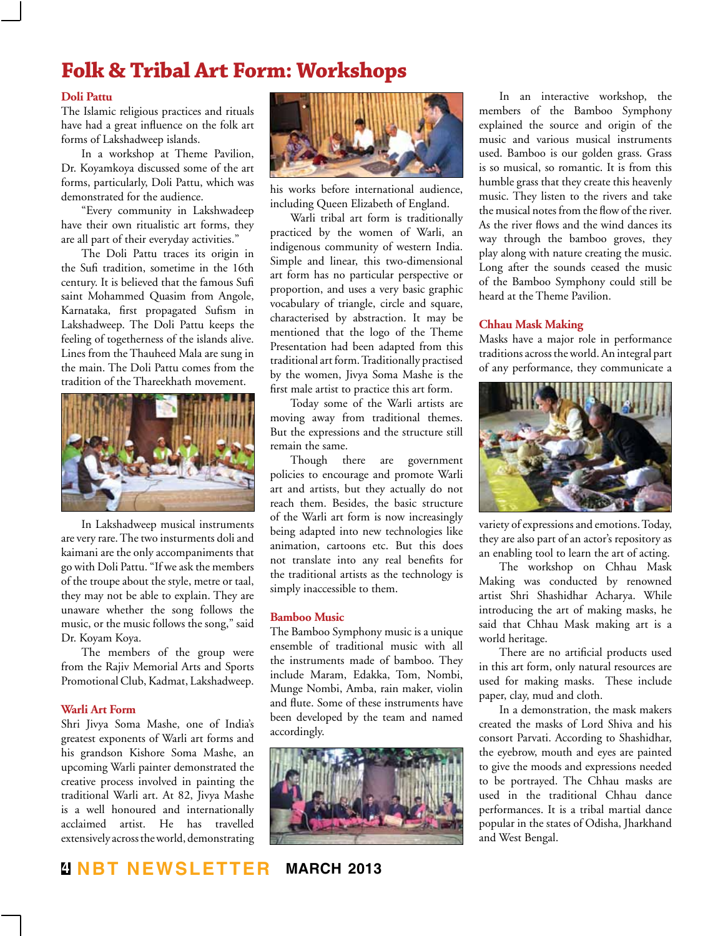## **Folk & Tribal Art Form: Workshops**

#### **Doli Pattu**

The Islamic religious practices and rituals have had a great influence on the folk art forms of Lakshadweep islands.

In a workshop at Theme Pavilion, Dr. Koyamkoya discussed some of the art forms, particularly, Doli Pattu, which was demonstrated for the audience.

"Every community in Lakshwadeep have their own ritualistic art forms, they are all part of their everyday activities."

The Doli Pattu traces its origin in the Sufi tradition, sometime in the 16th century. It is believed that the famous Sufi saint Mohammed Quasim from Angole, Karnataka, first propagated Sufism in Lakshadweep. The Doli Pattu keeps the feeling of togetherness of the islands alive. Lines from the Thauheed Mala are sung in the main. The Doli Pattu comes from the tradition of the Thareekhath movement.



In Lakshadweep musical instruments are very rare. The two insturments doli and kaimani are the only accompaniments that go with Doli Pattu. "If we ask the members of the troupe about the style, metre or taal, they may not be able to explain. They are unaware whether the song follows the music, or the music follows the song," said Dr. Koyam Koya.

The members of the group were from the Rajiv Memorial Arts and Sports Promotional Club, Kadmat, Lakshadweep.

#### **Warli Art Form**

Shri Jivya Soma Mashe, one of India's greatest exponents of Warli art forms and his grandson Kishore Soma Mashe, an upcoming Warli painter demonstrated the creative process involved in painting the traditional Warli art. At 82, Jivya Mashe is a well honoured and internationally acclaimed artist. He has travelled extensively across the world, demonstrating



his works before international audience, including Queen Elizabeth of England.

Warli tribal art form is traditionally practiced by the women of Warli, an indigenous community of western India. Simple and linear, this two-dimensional art form has no particular perspective or proportion, and uses a very basic graphic vocabulary of triangle, circle and square, characterised by abstraction. It may be mentioned that the logo of the Theme Presentation had been adapted from this traditional art form. Traditionally practised by the women, Jivya Soma Mashe is the first male artist to practice this art form.

Today some of the Warli artists are moving away from traditional themes. But the expressions and the structure still remain the same.

Though there are government policies to encourage and promote Warli art and artists, but they actually do not reach them. Besides, the basic structure of the Warli art form is now increasingly being adapted into new technologies like animation, cartoons etc. But this does not translate into any real benefits for the traditional artists as the technology is simply inaccessible to them.

#### **Bamboo Music**

The Bamboo Symphony music is a unique ensemble of traditional music with all the instruments made of bamboo. They include Maram, Edakka, Tom, Nombi, Munge Nombi, Amba, rain maker, violin and flute. Some of these instruments have been developed by the team and named accordingly.



In an interactive workshop, the members of the Bamboo Symphony explained the source and origin of the music and various musical instruments used. Bamboo is our golden grass. Grass is so musical, so romantic. It is from this humble grass that they create this heavenly music. They listen to the rivers and take the musical notes from the flow of the river. As the river flows and the wind dances its way through the bamboo groves, they play along with nature creating the music. Long after the sounds ceased the music of the Bamboo Symphony could still be heard at the Theme Pavilion.

#### **Chhau Mask Making**

Masks have a major role in performance traditions across the world. An integral part of any performance, they communicate a



variety of expressions and emotions. Today, they are also part of an actor's repository as an enabling tool to learn the art of acting.

The workshop on Chhau Mask Making was conducted by renowned artist Shri Shashidhar Acharya. While introducing the art of making masks, he said that Chhau Mask making art is a world heritage.

There are no artificial products used in this art form, only natural resources are used for making masks. These include paper, clay, mud and cloth.

In a demonstration, the mask makers created the masks of Lord Shiva and his consort Parvati. According to Shashidhar, the eyebrow, mouth and eyes are painted to give the moods and expressions needed to be portrayed. The Chhau masks are used in the traditional Chhau dance performances. It is a tribal martial dance popular in the states of Odisha, Jharkhand and West Bengal.

**4 NBT Newsletter march 2013**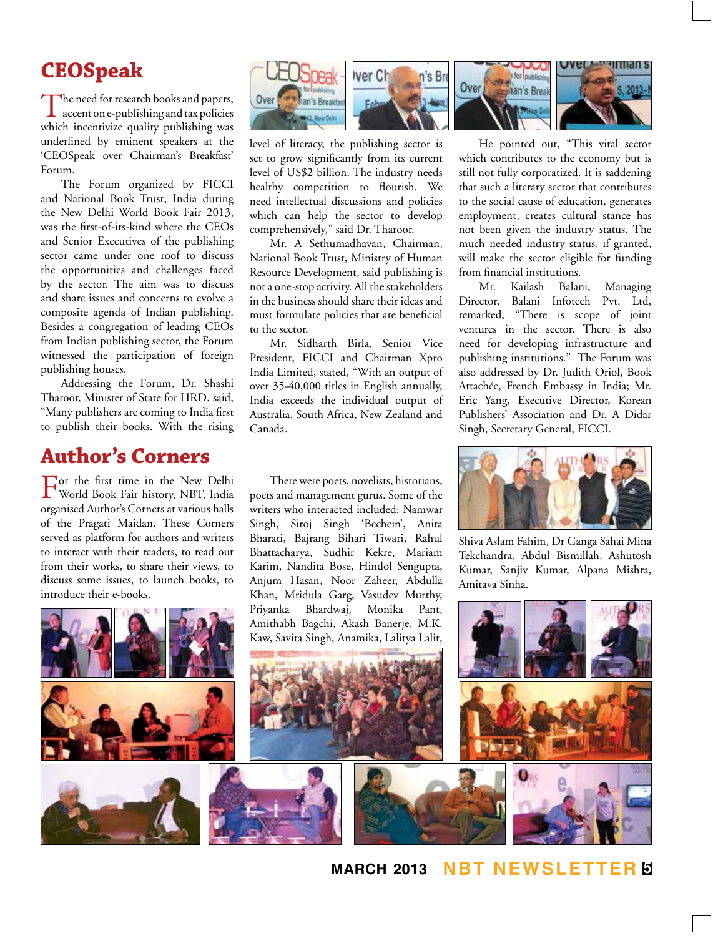# **CEOSpeak**

The need for research books and papers,<br>accent on e-publishing and tax policies which incentivize quality publishing was underlined by eminent speakers at the 'CEOSpeak over Chairman's Breakfast' Forum.

The Forum organized by FICCI and National Book Trust, India during the New Delhi World Book Fair 2013, was the first-of-its-kind where the CEOs and Senior Executives of the publishing sector came under one roof to discuss the opportunities and challenges faced by the sector. The aim was to discuss and share issues and concerns to evolve a composite agenda of Indian publishing. Besides a congregation of leading CEOs from Indian publishing sector, the Forum witnessed the participation of foreign publishing houses.

Addressing the Forum, Dr. Shashi Tharoor, Minister of State for HRD, said, "Many publishers are coming to India first to publish their books. With the rising

### **Author's Corners**

For the first time in the New Delhi World Book Fair history, NBT, India organised Author's Corners at various halls of the Pragati Maidan. These Corners served as platform for authors and writers to interact with their readers, to read out from their works, to share their views, to discuss some issues, to launch books, to introduce their e-books.







level of literacy, the publishing sector is set to grow significantly from its current level of US\$2 billion. The industry needs healthy competition to flourish. We need intellectual discussions and policies which can help the sector to develop comprehensively," said Dr. Tharoor.

Mr. A Sethumadhavan, Chairman, National Book Trust, Ministry of Human Resource Development, said publishing is not a one-stop activity. All the stakeholders in the business should share their ideas and must formulate policies that are beneficial to the sector.

Mr. Sidharth Birla, Senior Vice President, FICCI and Chairman Xpro India Limited, stated, "With an output of over 35-40,000 titles in English annually, India exceeds the individual output of Australia, South Africa, New Zealand and Canada.

There were poets, novelists, historians, poets and management gurus. Some of the writers who interacted included: Namwar Singh, Siroj Singh 'Bechein', Anita Bharati, Bajrang Bihari Tiwari, Rahul Bhattacharya, Sudhir Kekre, Mariam Karim, Nandita Bose, Hindol Sengupta, Anjum Hasan, Noor Zaheer, Abdulla Khan, Mridula Garg, Vasudev Murthy, Priyanka Bhardwaj, Monika Pant, Amithabh Bagchi, Akash Banerje, M.K. Kaw, Savita Singh, Anamika, Lalitya Lalit,





He pointed out, "This vital sector which contributes to the economy but is still not fully corporatized. It is saddening that such a literary sector that contributes to the social cause of education, generates employment, creates cultural stance has not been given the industry status. The much needed industry status, if granted, will make the sector eligible for funding from financial institutions.

Mr. Kailash Balani, Managing Director, Balani Infotech Pvt. Ltd, remarked, "There is scope of joint ventures in the sector. There is also need for developing infrastructure and publishing institutions." The Forum was also addressed by Dr. Judith Oriol, Book Attachée, French Embassy in India; Mr. Eric Yang, Executive Director, Korean Publishers' Association and Dr. A Didar Singh, Secretary General, FICCI.



Shiva Aslam Fahim, Dr Ganga Sahai Mina Tekchandra, Abdul Bismillah, Ashutosh Kumar, Sanjiv Kumar, Alpana Mishra, Amitava Sinha.



**march 2013 NBT Newsletter 5**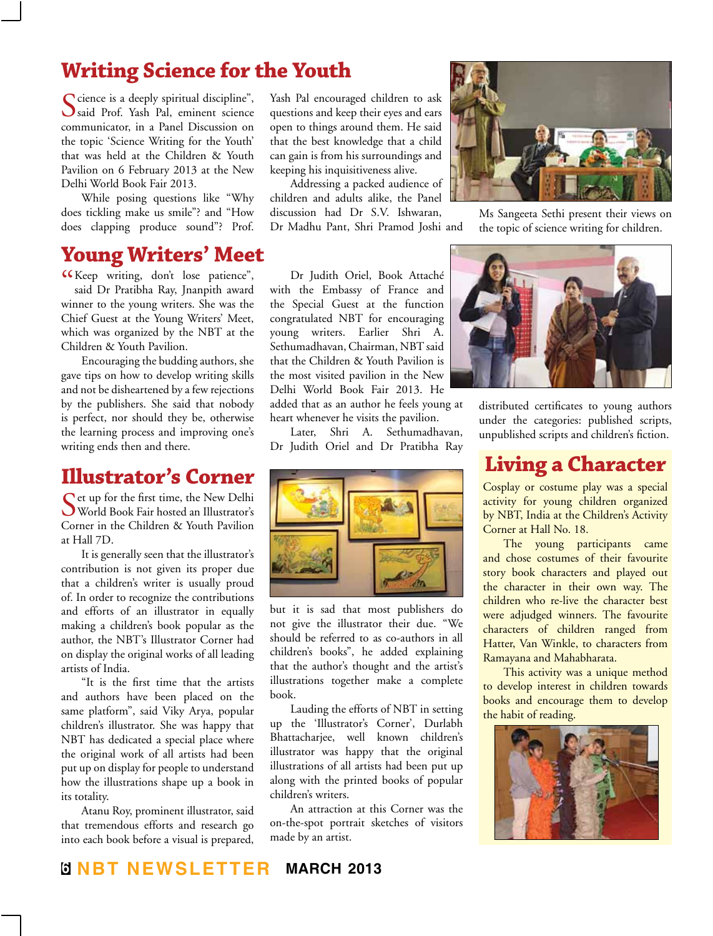### **Writing Science for the Youth**

Science is a deeply spiritual discipline",<br>Ssaid Prof. Yash Pal, eminent science communicator, in a Panel Discussion on the topic 'Science Writing for the Youth' that was held at the Children & Youth Pavilion on 6 February 2013 at the New Delhi World Book Fair 2013.

While posing questions like "Why does tickling make us smile"? and "How does clapping produce sound"? Prof.

### **Young Writers' Meet**

" Keep writing, don't lose patience", said Dr Pratibha Ray, Jnanpith award winner to the young writers. She was the Chief Guest at the Young Writers' Meet, which was organized by the NBT at the Children & Youth Pavilion.

Encouraging the budding authors, she gave tips on how to develop writing skills and not be disheartened by a few rejections by the publishers. She said that nobody is perfect, nor should they be, otherwise the learning process and improving one's writing ends then and there.

### **Illustrator's Corner**

 $\bigcap$  et up for the first time, the New Delhi World Book Fair hosted an Illustrator's Corner in the Children & Youth Pavilion at Hall 7D.

It is generally seen that the illustrator's contribution is not given its proper due that a children's writer is usually proud of. In order to recognize the contributions and efforts of an illustrator in equally making a children's book popular as the author, the NBT's Illustrator Corner had on display the original works of all leading artists of India.

"It is the first time that the artists and authors have been placed on the same platform", said Viky Arya, popular children's illustrator. She was happy that NBT has dedicated a special place where the original work of all artists had been put up on display for people to understand how the illustrations shape up a book in its totality.

Atanu Roy, prominent illustrator, said that tremendous efforts and research go into each book before a visual is prepared,

Yash Pal encouraged children to ask questions and keep their eyes and ears open to things around them. He said that the best knowledge that a child can gain is from his surroundings and keeping his inquisitiveness alive.

Addressing a packed audience of children and adults alike, the Panel discussion had Dr S.V. Ishwaran, Dr Madhu Pant, Shri Pramod Joshi and

Dr Judith Oriel, Book Attaché with the Embassy of France and the Special Guest at the function congratulated NBT for encouraging young writers. Earlier Shri A. Sethumadhavan, Chairman, NBT said that the Children & Youth Pavilion is the most visited pavilion in the New Delhi World Book Fair 2013. He added that as an author he feels young at heart whenever he visits the pavilion.

Later, Shri A. Sethumadhavan, Dr Judith Oriel and Dr Pratibha Ray



but it is sad that most publishers do not give the illustrator their due. "We should be referred to as co-authors in all children's books", he added explaining that the author's thought and the artist's illustrations together make a complete book.

Lauding the efforts of NBT in setting up the 'Illustrator's Corner', Durlabh Bhattacharjee, well known children's illustrator was happy that the original illustrations of all artists had been put up along with the printed books of popular children's writers.

An attraction at this Corner was the on-the-spot portrait sketches of visitors made by an artist.



Ms Sangeeta Sethi present their views on the topic of science writing for children.



distributed certificates to young authors under the categories: published scripts, unpublished scripts and children's fiction.

### **Living a Character**

Cosplay or costume play was a special activity for young children organized by NBT, India at the Children's Activity Corner at Hall No. 18.

The young participants came and chose costumes of their favourite story book characters and played out the character in their own way. The children who re-live the character best were adjudged winners. The favourite characters of children ranged from Hatter, Van Winkle, to characters from Ramayana and Mahabharata.

This activity was a unique method to develop interest in children towards books and encourage them to develop the habit of reading.

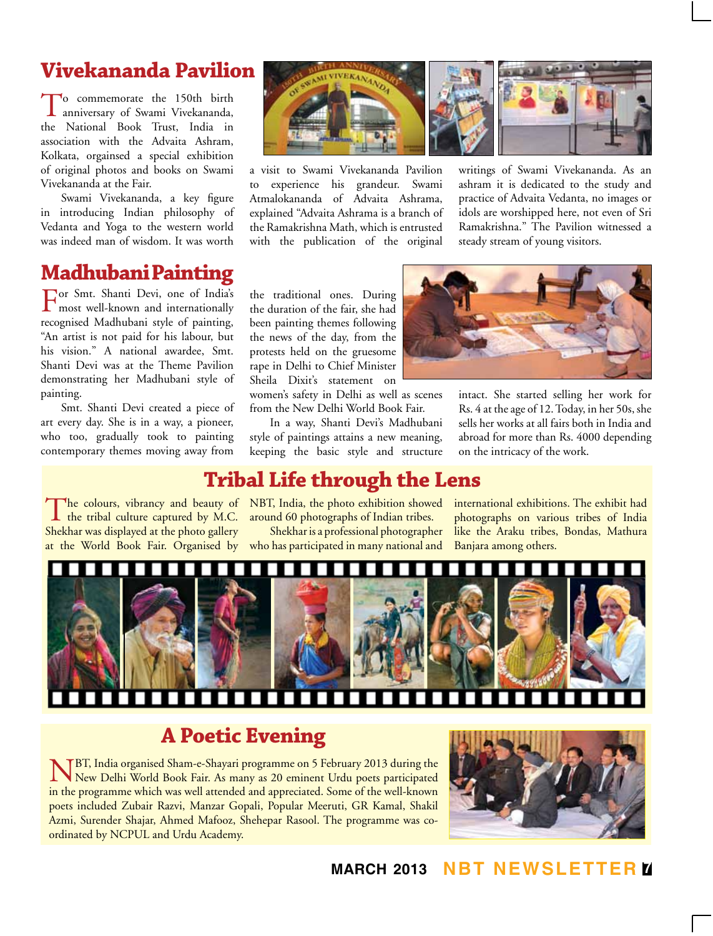# **Vivekananda Pavilion**

To commemorate the 150th birth anniversary of Swami Vivekananda, the National Book Trust, India in association with the Advaita Ashram, Kolkata, orgainsed a special exhibition of original photos and books on Swami Vivekananda at the Fair.

Swami Vivekananda, a key figure in introducing Indian philosophy of Vedanta and Yoga to the western world was indeed man of wisdom. It was worth

## **Madhubani Painting**

For Smt. Shanti Devi, one of India's most well-known and internationally recognised Madhubani style of painting, "An artist is not paid for his labour, but his vision." A national awardee, Smt. Shanti Devi was at the Theme Pavilion demonstrating her Madhubani style of painting.

Smt. Shanti Devi created a piece of art every day. She is in a way, a pioneer, who too, gradually took to painting contemporary themes moving away from

The colours, vibrancy and beauty of<br>the tribal culture captured by M.C. Shekhar was displayed at the photo gallery

a visit to Swami Vivekananda Pavilion to experience his grandeur. Swami Atmalokananda of Advaita Ashrama, explained "Advaita Ashrama is a branch of the Ramakrishna Math, which is entrusted with the publication of the original



ashram it is dedicated to the study and practice of Advaita Vedanta, no images or idols are worshipped here, not even of Sri Ramakrishna." The Pavilion witnessed a steady stream of young visitors.

the traditional ones. During the duration of the fair, she had been painting themes following the news of the day, from the protests held on the gruesome rape in Delhi to Chief Minister Sheila Dixit's statement on women's safety in Delhi as well as scenes

from the New Delhi World Book Fair.

In a way, Shanti Devi's Madhubani style of paintings attains a new meaning, keeping the basic style and structure



intact. She started selling her work for Rs. 4 at the age of 12. Today, in her 50s, she sells her works at all fairs both in India and abroad for more than Rs. 4000 depending on the intricacy of the work.

### **Tribal Life through the Lens**

The colours, vibrancy and beauty of NBT, India, the photo exhibition showed around 60 photographs of Indian tribes.

at the World Book Fair. Organised by who has participated in many national and Shekhar is a professional photographer

international exhibitions. The exhibit had photographs on various tribes of India like the Araku tribes, Bondas, Mathura Banjara among others.



# **A Poetic Evening**

NBT, India organised Sham-e-Shayari programme on 5 February 2013 during the New Delhi World Book Fair. As many as 20 eminent Urdu poets participated in the programme which was well attended and appreciated. Some of the well-known poets included Zubair Razvi, Manzar Gopali, Popular Meeruti, GR Kamal, Shakil Azmi, Surender Shajar, Ahmed Mafooz, Shehepar Rasool. The programme was coordinated by NCPUL and Urdu Academy.



### **march 2013 NBT Newsletter 7**